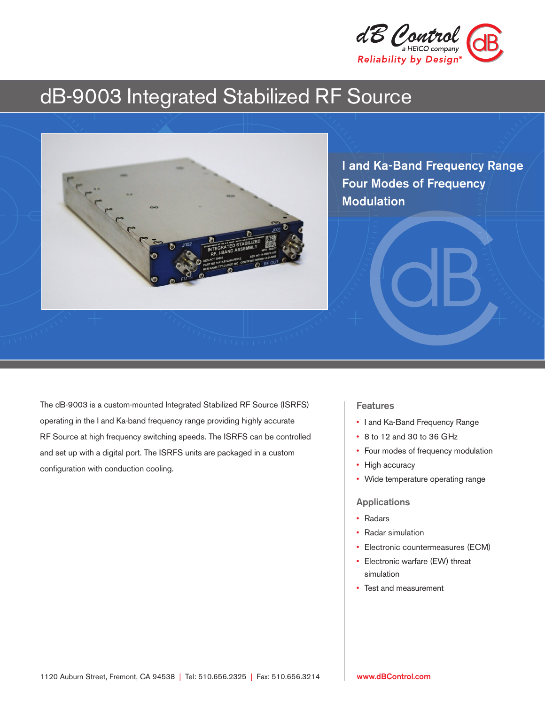

# dB-9003 Integrated Stabilized RF Source



I and Ka-Band Frequency Range Four Modes of Frequency Modulation

The dB-9003 is a custom-mounted Integrated Stabilized RF Source (ISRFS) operating in the I and Ka-band frequency range providing highly accurate RF Source at high frequency switching speeds. The ISRFS can be controlled and set up with a digital port. The ISRFS units are packaged in a custom configuration with conduction cooling.

#### **Features**

- I and Ka-Band Frequency Range
- 8 to 12 and 30 to 36 GHz
- Four modes of frequency modulation
- High accuracy
- Wide temperature operating range

#### Applications

- Radars
- Radar simulation
- Electronic countermeasures (ECM)
- Electronic warfare (EW) threat simulation
- Test and measurement